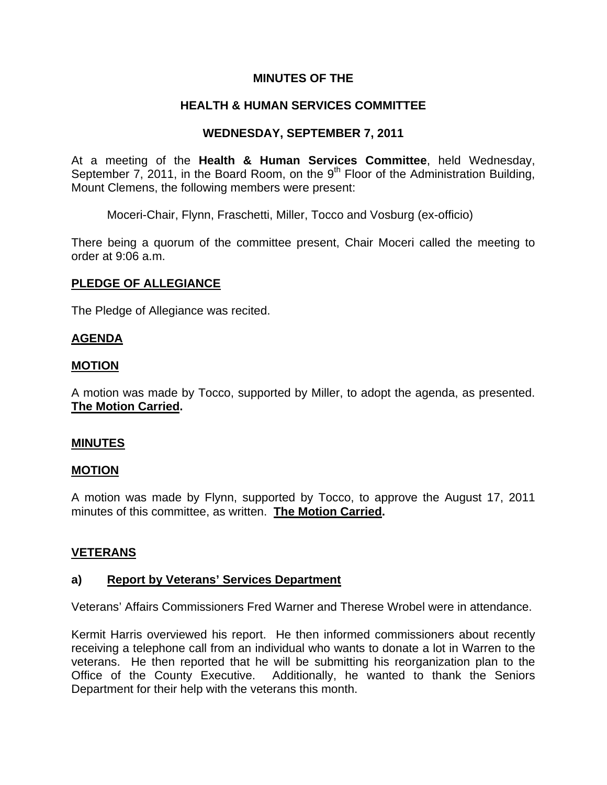## **MINUTES OF THE**

# **HEALTH & HUMAN SERVICES COMMITTEE**

## **WEDNESDAY, SEPTEMBER 7, 2011**

At a meeting of the **Health & Human Services Committee**, held Wednesday, September 7, 2011, in the Board Room, on the  $9<sup>th</sup>$  Floor of the Administration Building, Mount Clemens, the following members were present:

Moceri-Chair, Flynn, Fraschetti, Miller, Tocco and Vosburg (ex-officio)

There being a quorum of the committee present, Chair Moceri called the meeting to order at 9:06 a.m.

### **PLEDGE OF ALLEGIANCE**

The Pledge of Allegiance was recited.

### **AGENDA**

### **MOTION**

A motion was made by Tocco, supported by Miller, to adopt the agenda, as presented. **The Motion Carried.** 

### **MINUTES**

### **MOTION**

A motion was made by Flynn, supported by Tocco, to approve the August 17, 2011 minutes of this committee, as written. **The Motion Carried.** 

### **VETERANS**

## **a) Report by Veterans' Services Department**

Veterans' Affairs Commissioners Fred Warner and Therese Wrobel were in attendance.

Kermit Harris overviewed his report. He then informed commissioners about recently receiving a telephone call from an individual who wants to donate a lot in Warren to the veterans. He then reported that he will be submitting his reorganization plan to the Office of the County Executive. Additionally, he wanted to thank the Seniors Department for their help with the veterans this month.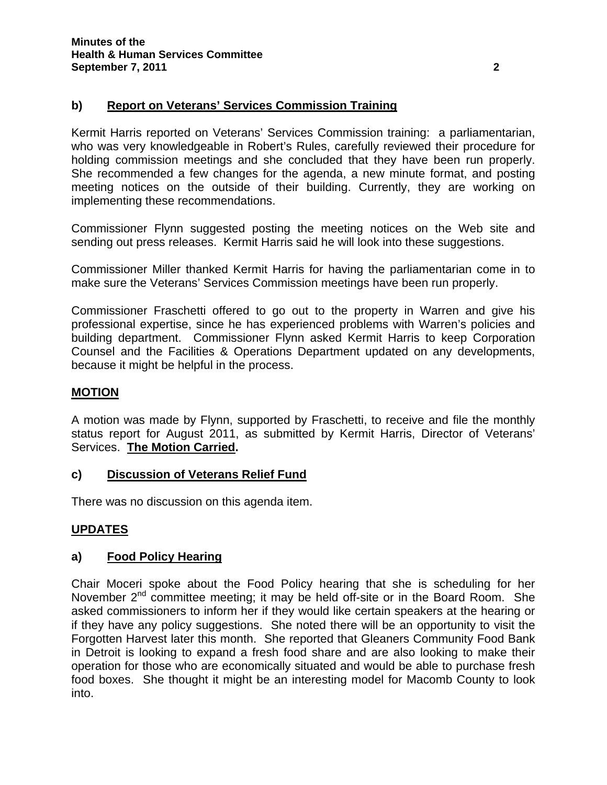# **b) Report on Veterans' Services Commission Training**

Kermit Harris reported on Veterans' Services Commission training: a parliamentarian, who was very knowledgeable in Robert's Rules, carefully reviewed their procedure for holding commission meetings and she concluded that they have been run properly. She recommended a few changes for the agenda, a new minute format, and posting meeting notices on the outside of their building. Currently, they are working on implementing these recommendations.

Commissioner Flynn suggested posting the meeting notices on the Web site and sending out press releases. Kermit Harris said he will look into these suggestions.

Commissioner Miller thanked Kermit Harris for having the parliamentarian come in to make sure the Veterans' Services Commission meetings have been run properly.

Commissioner Fraschetti offered to go out to the property in Warren and give his professional expertise, since he has experienced problems with Warren's policies and building department. Commissioner Flynn asked Kermit Harris to keep Corporation Counsel and the Facilities & Operations Department updated on any developments, because it might be helpful in the process.

### **MOTION**

A motion was made by Flynn, supported by Fraschetti, to receive and file the monthly status report for August 2011, as submitted by Kermit Harris, Director of Veterans' Services. **The Motion Carried.** 

### **c) Discussion of Veterans Relief Fund**

There was no discussion on this agenda item.

### **UPDATES**

### **a) Food Policy Hearing**

Chair Moceri spoke about the Food Policy hearing that she is scheduling for her November  $2^{nd}$  committee meeting; it may be held off-site or in the Board Room. She asked commissioners to inform her if they would like certain speakers at the hearing or if they have any policy suggestions. She noted there will be an opportunity to visit the Forgotten Harvest later this month. She reported that Gleaners Community Food Bank in Detroit is looking to expand a fresh food share and are also looking to make their operation for those who are economically situated and would be able to purchase fresh food boxes. She thought it might be an interesting model for Macomb County to look into.